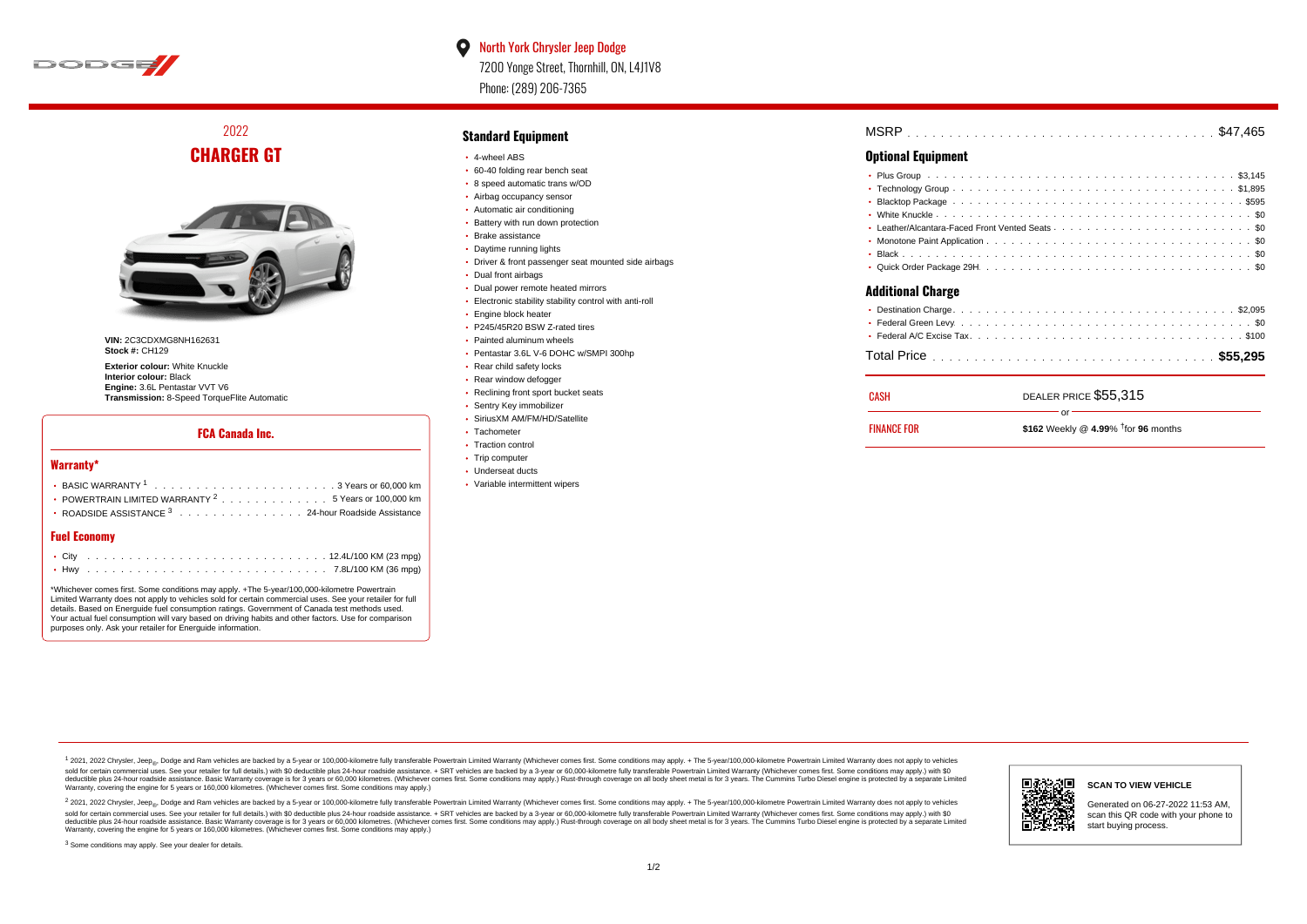

## $\bullet$ North York Chrysler Jeep Dodge 7200 Yonge Street, Thornhill, ON, L4J1V8 Phone: (289) 206-7365

# 2022 **CHARGER GT**



**VIN:** 2C3CDXMG8NH162631 **Stock #:** CH129

**Exterior colour:** White Knuckle **Interior colour:** Black **Engine:** 3.6L Pentastar VVT V6 **Transmission:** 8-Speed TorqueFlite Automatic

#### **FCA Canada Inc.**

#### **Warranty\***

| • POWERTRAIN LIMITED WARRANTY $2 \ldots \ldots \ldots \ldots \ldots 5$ Years or 100,000 km |
|--------------------------------------------------------------------------------------------|
| • ROADSIDE ASSISTANCE $^3$ , , , , , , , , , , , , , , , , 24-hour Roadside Assistance     |
|                                                                                            |

#### **Fuel Economy**

\*Whichever comes first. Some conditions may apply. +The 5-year/100,000-kilometre Powertrain Limited Warranty does not apply to vehicles sold for certain commercial uses. See your retailer for full details. Based on Energuide fuel consumption ratings. Government of Canada test methods used. Your actual fuel consumption will vary based on driving habits and other factors. Use for comparison purposes only. Ask your retailer for Energuide information.

### **Standard Equipment**

- 4-wheel ABS
- 60-40 folding rear bench seat
- 8 speed automatic trans w/OD
- Airbag occupancy sensor
- Automatic air conditioning
- Battery with run down protection Brake assistance
- 
- Daytime running lights Driver & front passenger seat mounted side airbags
- Dual front airbags
- 
- Dual power remote heated mirrors Electronic stability stability control with anti-roll
- **Engine block heater**
- 
- P245/45R20 BSW Z-rated tires Painted aluminum wheels
- 
- Pentastar 3.6L V-6 DOHC w/SMPI 300hp • Rear child safety locks
- Rear window defogger
- Reclining front sport bucket seats
- Sentry Key immobilizer
- SiriusXM AM/FM/HD/Satellite
- Tachometer
- Traction control
- Trip computer
- Underseat ducts
- Variable intermittent wipers

| <b>MSRP</b> |  |
|-------------|--|
|-------------|--|

#### **Optional Equipment**

| <b>Additional Charge</b> |  |  |  |  |  |  |
|--------------------------|--|--|--|--|--|--|

| CASH               | DEALER PRICE \$55,315                        |
|--------------------|----------------------------------------------|
| <b>FINANCE FOR</b> | \$162 Weekly @ 4.99% $\dagger$ for 96 months |
|                    |                                              |

1 2021, 2022 Chrysler, Jeep.... Dodge and Ram vehicles are backed by a 5-year or 100,000-kilometre fully transferable Powertrain Limited Warranty (Whichever comes first. Some conditions may apply. + The 5-year/100,000-kilo sold for certain commercial uses. See your retailer for full details.) with \$0 deductible plus 24-hour roadside assistance. + SRT vehicles are backed by a 3-year or 60,000-kilometre fully transferable Powertrain Limited Wa detuctible plus 24-hour roadside assistance. Basic Warranty coverage is for 3 years or 60,000 kilometres. Whichever comes first. Some conditions may apply.) Rust-through coverage on all body sheet metals for 3 years. The C Warranty, covering the engine for 5 years or 160,000 kilometres. (Whichever comes first. Some conditions may apply.)

<sup>2</sup> 2021, 2022 Chrysler, Jeep<sub>®</sub>, Dodge and Ram vehicles are backed by a 5-year or 100,000-kilometre fully transferable Powertrain Limited Warranty (Whichever comes first. Some conditions may apply. + The 5-year/100,000-ki sold for certain commercial uses. See your retailer for full details.) with \$0 deductible plus 24-hour roadside assistance. + SRT vehicles are backed by a 3-year or 60.000-kilometre fully transferable Powertrain Limited Wa deductible plus 24-hour roadside assistance. Basic Warranty coverage is for 3 years or 60,000 kilometres. (Whichever comes first. Some conditions may apply.) Rust-through coverage on all body sheet metal is for 3 years. Th



#### **SCAN TO VIEW VEHICLE**

Generated on 06-27-2022 11:53 AM, scan this QR code with your phone to start buying process.

<sup>3</sup> Some conditions may apply. See your dealer for details.